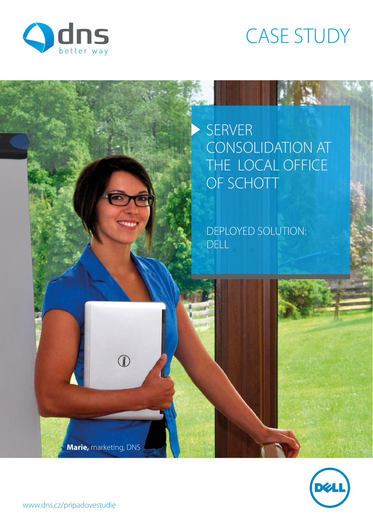

# CASE STUDY

## SERVER CONSOLIDATION AT THE LOCAL OFFICE OF SCHOTT

DEPLOYED SOLUTION: DELL

**Marie,** marketing, DNS

 $\circled{3}$ 

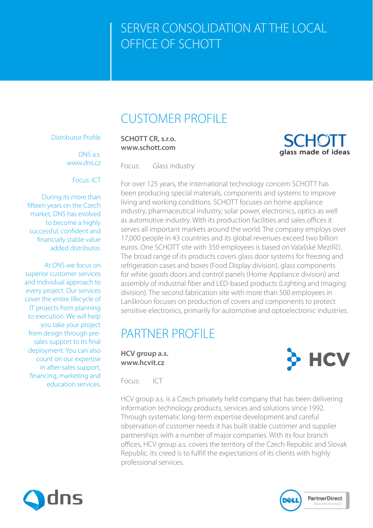### CUSTOMER PROFILE

#### Distributor Profile

DNS a.s. www.dns.cz

#### Focus: ICT

During its more than fifteen years on the Czech market, DNS has evolved to become a highly successful, confident and financially stable value added distributor.

At DNS we focus on superior customer services and individual approach to every project. Our services cover the entire lifecycle of IT projects from planning to execution. We will help you take your project from design through presales support to its final deployment. You can also count on our expertise in after-sales support, financing, marketing and education services.

**SCHOTT CR, s.r.o. www.schott.com**

Focus: Glass industry

For over 125 years, the international technology concern SCHOTT has been producing special materials, components and systems to improve living and working conditions. SCHOTT focuses on home appliance industry, pharmaceutical industry, solar power, electronics, optics as well as automotive industry. With its production facilities and sales offices it serves all important markets around the world. The company employs over 17,000 people in 43 countries and its global revenues exceed two billion euros. One SCHOTT site with 350 employees is based on Valašské Meziříčí. The broad range of its products covers glass door systems for freezing and refrigeration cases and boxes (Food Display division), glass components for white goods doors and control panels (Home Appliance division) and assembly of industrial fiber and LED-based products (Lighting and Imaging division). The second fabrication site with more than 500 employees in Lanškroun focuses on production of covers and components to protect sensitive electronics, primarily for automotive and optoelectronic industries.

### PARTNER PROFILE

**HCV group a.s. www.hcvit.cz** 

**HCV** 

glass made of ideas

Focus: ICT



HCV group a.s. is a Czech privately held company that has been delivering information technology products, services and solutions since 1992. Through systematic long-term expertise development and careful observation of customer needs it has built stable customer and supplier partnerships with a number of major companies. With its four branch offices, HCV group a.s. covers the territory of the Czech Republic and Slovak Republic. Its creed is to fulfill the expectations of its clients with highly professional services.



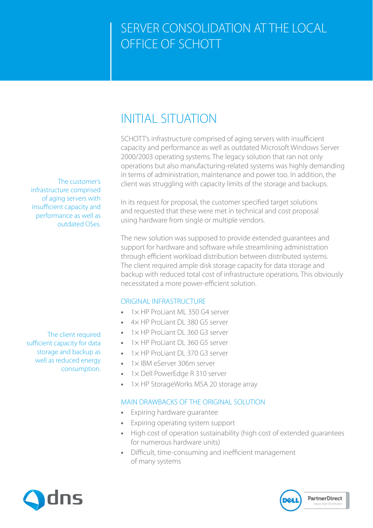### INITIAL SITUATION

SCHOTT's infrastructure comprised of aging servers with insufficient capacity and performance as well as outdated Microsoft Windows Server 2000/2003 operating systems. The legacy solution that ran not only operations but also manufacturing-related systems was highly demanding in terms of administration, maintenance and power too. In addition, the client was struggling with capacity limits of the storage and backups.

In its request for proposal, the customer specified target solutions and requested that these were met in technical and cost proposal using hardware from single or multiple vendors.

The new solution was supposed to provide extended guarantees and support for hardware and software while streamlining administration through efficient workload distribution between distributed systems. The client required ample disk storage capacity for data storage and backup with reduced total cost of infrastructure operations. This obviously necessitated a more power-efficient solution.

#### ORIGINAL INFRASTRUCTURE

- **•** 1× HP ProLiant ML 350 G4 server
- **•** 4× HP ProLiant DL 380 G5 server
- **•** 1× HP ProLiant DL 360 G3 server
- 1× HP ProLiant DL 360 G5 server
- **•** 1× HP ProLiant DL 370 G3 server
- **•** 1× IBM eServer 306m server
- **•** 1× Dell PowerEdge R 310 server
- **•** 1× HP StorageWorks MSA 20 storage array

#### MAIN DRAWBACKS OF THE ORIGINAL SOLUTION

- **•** Expiring hardware guarantee
- **•** Expiring operating system support
- **•** High cost of operation sustainability (high cost of extended guarantees for numerous hardware units)
- **•** Difficult, time-consuming and inefficient management of many systems

**PartnerDirect** 

The customer's infrastructure comprised of aging servers with insufficient capacity and performance as well as outdated OSes.

The client required sufficient capacity for data storage and backup as well as reduced energy consumption.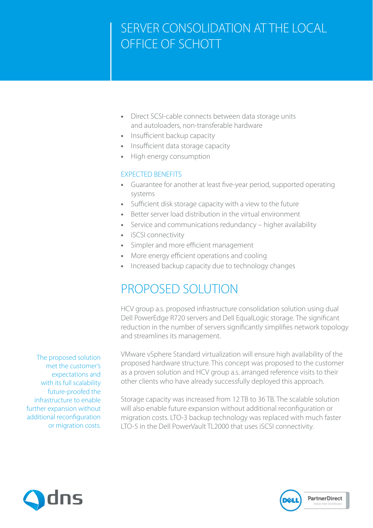- **•** Direct SCSI-cable connects between data storage units and autoloaders, non-transferable hardware
- **•** Insufficient backup capacity
- **•** Insufficient data storage capacity
- **•** High energy consumption

#### EXPECTED BENEFITS

- **•** Guarantee for another at least five-year period, supported operating systems
- **•** Sufficient disk storage capacity with a view to the future
- **•** Better server load distribution in the virtual environment
- **•** Service and communications redundancy higher availability
- **•** iSCSI connectivity
- **•** Simpler and more efficient management
- **•** More energy efficient operations and cooling
- **•** Increased backup capacity due to technology changes

### PROPOSED SOLUTION

HCV group a.s. proposed infrastructure consolidation solution using dual Dell PowerEdge R720 servers and Dell EqualLogic storage. The significant reduction in the number of servers significantly simplifies network topology and streamlines its management.

VMware vSphere Standard virtualization will ensure high availability of the proposed hardware structure. This concept was proposed to the customer as a proven solution and HCV group a.s. arranged reference visits to their other clients who have already successfully deployed this approach.

Storage capacity was increased from 12 TB to 36 TB. The scalable solution will also enable future expansion without additional reconfiguration or migration costs. LTO-3 backup technology was replaced with much faster LTO-5 in the Dell PowerVault TL2000 that uses iSCSI connectivity.



The proposed solution met the customer's expectations and with its full scalability future-proofed the infrastructure to enable further expansion without additional reconfiguration or migration costs.

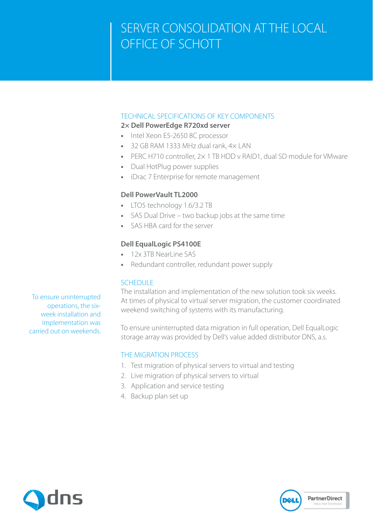### TECHNICAL SPECIFICATIONS OF KEY COMPONENTS

#### **2× Dell PowerEdge R720xd server**

- **•** Intel Xeon E5-2650 8C processor
- **•** 32 GB RAM 1333 MHz dual rank, 4× LAN
- **•** PERC H710 controller, 2× 1 TB HDD v RAID1, dual SD module for VMware
- **•** Dual HotPlug power supplies
- **•** iDrac 7 Enterprise for remote management

### **Dell PowerVault TL2000**

- **•** LTO5 technology 1.6/3.2 TB
- **•** SAS Dual Drive two backup jobs at the same time
- **•** SAS HBA card for the server

### **Dell EqualLogic PS4100E**

- 12x 3TB NearLine SAS
- **•** Redundant controller, redundant power supply

#### SCHEDULE

The installation and implementation of the new solution took six weeks. At times of physical to virtual server migration, the customer coordinated weekend switching of systems with its manufacturing.

To ensure uninterrupted data migration in full operation, Dell EqualLogic storage array was provided by Dell's value added distributor DNS, a.s.

### THE MIGRATION PROCESS

- 1. Test migration of physical servers to virtual and testing
- 2. Live migration of physical servers to virtual
- 3. Application and service testing
- 4. Backup plan set up







To ensure uninterrupted operations, the sixweek installation and implementation was carried out on weekends.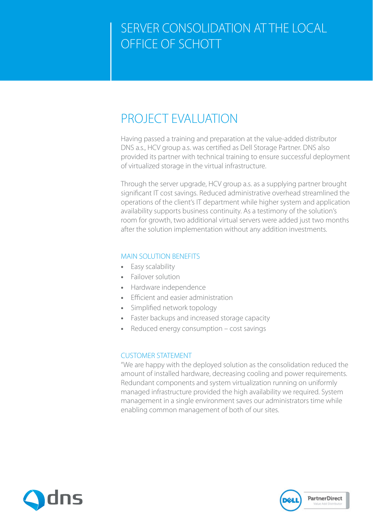### PROJECT EVALUATION

Having passed a training and preparation at the value-added distributor DNS a.s., HCV group a.s. was certified as Dell Storage Partner. DNS also provided its partner with technical training to ensure successful deployment of virtualized storage in the virtual infrastructure.

Through the server upgrade, HCV group a.s. as a supplying partner brought significant IT cost savings. Reduced administrative overhead streamlined the operations of the client's IT department while higher system and application availability supports business continuity. As a testimony of the solution's room for growth, two additional virtual servers were added just two months after the solution implementation without any addition investments.

#### MAIN SOLUTION BENEFITS

- **•** Easy scalability
- **•** Failover solution
- **•** Hardware independence
- **•** Efficient and easier administration
- **•** Simplified network topology
- **•** Faster backups and increased storage capacity
- **•** Reduced energy consumption cost savings

#### CUSTOMER STATEMENT

"We are happy with the deployed solution as the consolidation reduced the amount of installed hardware, decreasing cooling and power requirements. Redundant components and system virtualization running on uniformly managed infrastructure provided the high availability we required. System management in a single environment saves our administrators time while enabling common management of both of our sites.



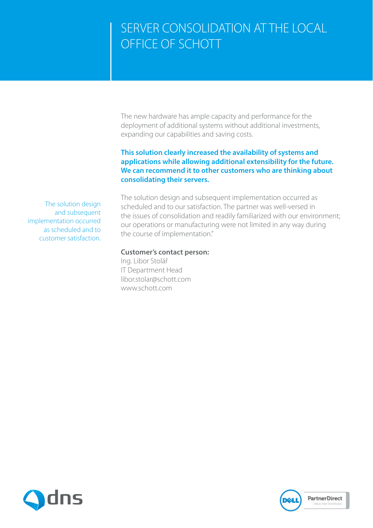The new hardware has ample capacity and performance for the deployment of additional systems without additional investments, expanding our capabilities and saving costs.

#### **This solution clearly increased the availability of systems and applications while allowing additional extensibility for the future. We can recommend it to other customers who are thinking about consolidating their servers.**

The solution design and subsequent implementation occurred as scheduled and to customer satisfaction. The solution design and subsequent implementation occurred as scheduled and to our satisfaction. The partner was well-versed in the issues of consolidation and readily familiarized with our environment; our operations or manufacturing were not limited in any way during the course of implementation."

#### **Customer's contact person:**

Ing. Libor Stolář IT Department Head libor.stolar@schott.com www.schott.com